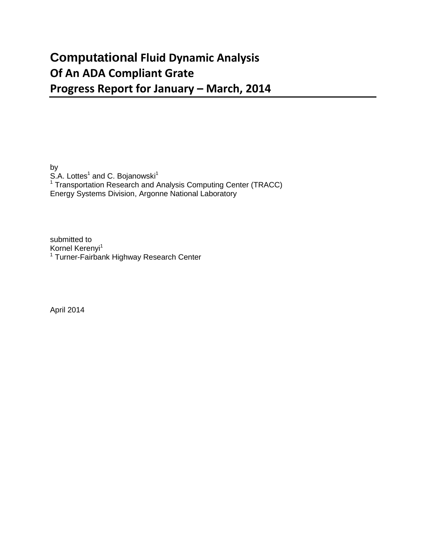## **Computational Fluid Dynamic Analysis Of An ADA Compliant Grate Progress Report for January – March, 2014**

by S.A. Lottes<sup>1</sup> and C. Bojanowski<sup>1</sup>  $1$  Transportation Research and Analysis Computing Center (TRACC) Energy Systems Division, Argonne National Laboratory

submitted to Kornel Kerenyi<sup>1</sup> <sup>1</sup> Turner-Fairbank Highway Research Center

April 2014